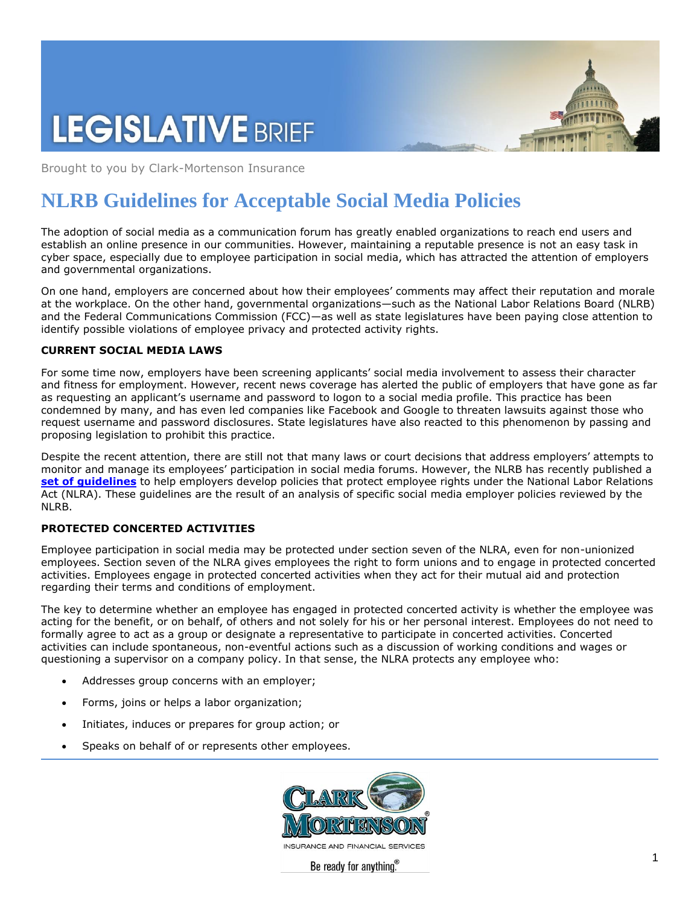# **LEGISLATIVE BRIEF**

Brought to you by Clark-Mortenson Insurance

## **NLRB Guidelines for Acceptable Social Media Policies**

The adoption of social media as a communication forum has greatly enabled organizations to reach end users and establish an online presence in our communities. However, maintaining a reputable presence is not an easy task in cyber space, especially due to employee participation in social media, which has attracted the attention of employers and governmental organizations.

On one hand, employers are concerned about how their employees' comments may affect their reputation and morale at the workplace. On the other hand, governmental organizations—such as the National Labor Relations Board (NLRB) and the Federal Communications Commission (FCC)—as well as state legislatures have been paying close attention to identify possible violations of employee privacy and protected activity rights.

#### **CURRENT SOCIAL MEDIA LAWS**

For some time now, employers have been screening applicants' social media involvement to assess their character and fitness for employment. However, recent news coverage has alerted the public of employers that have gone as far as requesting an applicant's username and password to logon to a social media profile. This practice has been condemned by many, and has even led companies like Facebook and Google to threaten lawsuits against those who request username and password disclosures. State legislatures have also reacted to this phenomenon by passing and proposing legislation to prohibit this practice.

Despite the recent attention, there are still not that many laws or court decisions that address employers' attempts to monitor and manage its employees' participation in social media forums. However, the NLRB has recently published a **[set of guidelines](http://www.nlrb.gov/news/acting-general-counsel-releases-report-employer-social-media-policies)** to help employers develop policies that protect employee rights under the National Labor Relations Act (NLRA). These guidelines are the result of an analysis of specific social media employer policies reviewed by the NLRB.

### **PROTECTED CONCERTED ACTIVITIES**

Employee participation in social media may be protected under section seven of the NLRA, even for non-unionized employees. Section seven of the NLRA gives employees the right to form unions and to engage in protected concerted activities. Employees engage in protected concerted activities when they act for their mutual aid and protection regarding their terms and conditions of employment.

The key to determine whether an employee has engaged in protected concerted activity is whether the employee was acting for the benefit, or on behalf, of others and not solely for his or her personal interest. Employees do not need to formally agree to act as a group or designate a representative to participate in concerted activities. Concerted activities can include spontaneous, non-eventful actions such as a discussion of working conditions and wages or questioning a supervisor on a company policy. In that sense, the NLRA protects any employee who:

- Addresses group concerns with an employer;
- Forms, joins or helps a labor organization;
- Initiates, induces or prepares for group action; or
- Speaks on behalf of or represents other employees.

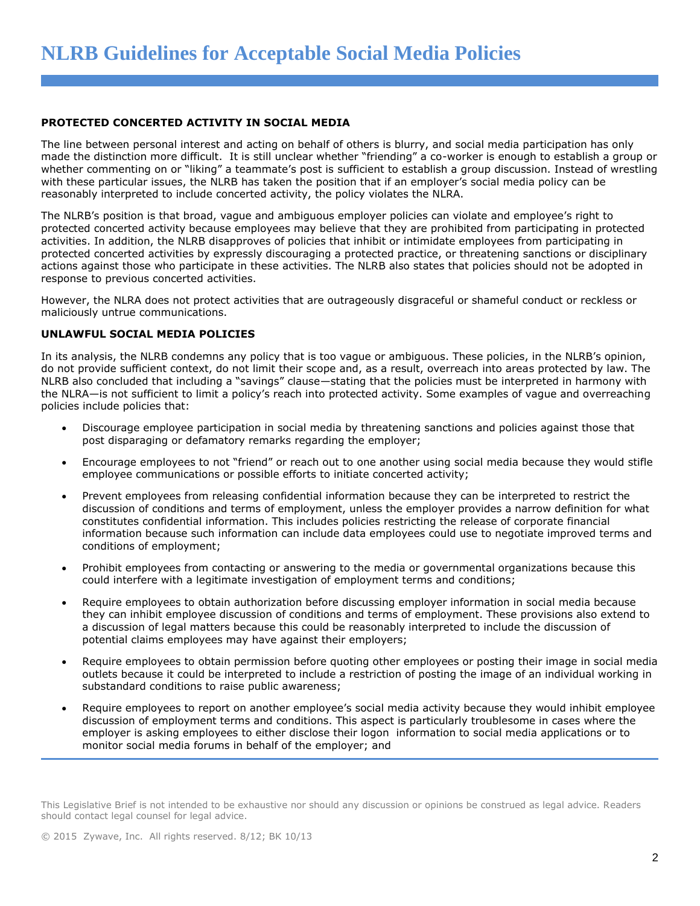#### **PROTECTED CONCERTED ACTIVITY IN SOCIAL MEDIA**

The line between personal interest and acting on behalf of others is blurry, and social media participation has only made the distinction more difficult. It is still unclear whether "friending" a co-worker is enough to establish a group or whether commenting on or "liking" a teammate's post is sufficient to establish a group discussion. Instead of wrestling with these particular issues, the NLRB has taken the position that if an employer's social media policy can be reasonably interpreted to include concerted activity, the policy violates the NLRA.

The NLRB's position is that broad, vague and ambiguous employer policies can violate and employee's right to protected concerted activity because employees may believe that they are prohibited from participating in protected activities. In addition, the NLRB disapproves of policies that inhibit or intimidate employees from participating in protected concerted activities by expressly discouraging a protected practice, or threatening sanctions or disciplinary actions against those who participate in these activities. The NLRB also states that policies should not be adopted in response to previous concerted activities.

However, the NLRA does not protect activities that are outrageously disgraceful or shameful conduct or reckless or maliciously untrue communications.

#### **UNLAWFUL SOCIAL MEDIA POLICIES**

In its analysis, the NLRB condemns any policy that is too vague or ambiguous. These policies, in the NLRB's opinion, do not provide sufficient context, do not limit their scope and, as a result, overreach into areas protected by law. The NLRB also concluded that including a "savings" clause—stating that the policies must be interpreted in harmony with the NLRA—is not sufficient to limit a policy's reach into protected activity. Some examples of vague and overreaching policies include policies that:

- Discourage employee participation in social media by threatening sanctions and policies against those that post disparaging or defamatory remarks regarding the employer;
- Encourage employees to not "friend" or reach out to one another using social media because they would stifle employee communications or possible efforts to initiate concerted activity;
- Prevent employees from releasing confidential information because they can be interpreted to restrict the discussion of conditions and terms of employment, unless the employer provides a narrow definition for what constitutes confidential information. This includes policies restricting the release of corporate financial information because such information can include data employees could use to negotiate improved terms and conditions of employment;
- Prohibit employees from contacting or answering to the media or governmental organizations because this could interfere with a legitimate investigation of employment terms and conditions;
- Require employees to obtain authorization before discussing employer information in social media because they can inhibit employee discussion of conditions and terms of employment. These provisions also extend to a discussion of legal matters because this could be reasonably interpreted to include the discussion of potential claims employees may have against their employers;
- Require employees to obtain permission before quoting other employees or posting their image in social media outlets because it could be interpreted to include a restriction of posting the image of an individual working in substandard conditions to raise public awareness;
- Require employees to report on another employee's social media activity because they would inhibit employee discussion of employment terms and conditions. This aspect is particularly troublesome in cases where the employer is asking employees to either disclose their logon information to social media applications or to monitor social media forums in behalf of the employer; and

This Legislative Brief is not intended to be exhaustive nor should any discussion or opinions be construed as legal advice. Readers should contact legal counsel for legal advice.